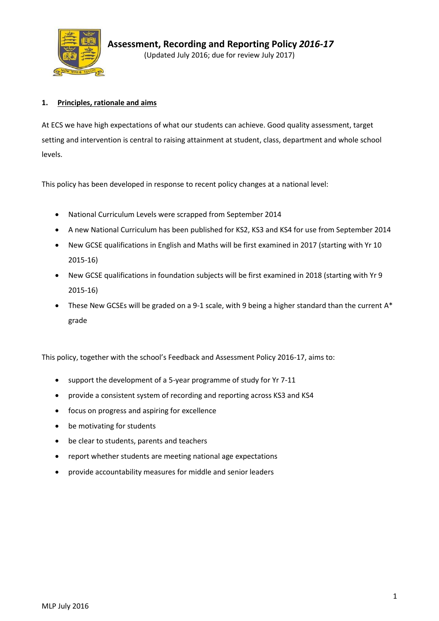

## **1. Principles, rationale and aims**

At ECS we have high expectations of what our students can achieve. Good quality assessment, target setting and intervention is central to raising attainment at student, class, department and whole school levels.

This policy has been developed in response to recent policy changes at a national level:

- National Curriculum Levels were scrapped from September 2014
- A new National Curriculum has been published for KS2, KS3 and KS4 for use from September 2014
- New GCSE qualifications in English and Maths will be first examined in 2017 (starting with Yr 10 2015-16)
- New GCSE qualifications in foundation subjects will be first examined in 2018 (starting with Yr 9 2015-16)
- These New GCSEs will be graded on a 9-1 scale, with 9 being a higher standard than the current  $A^*$ grade

This policy, together with the school's Feedback and Assessment Policy 2016-17, aims to:

- support the development of a 5-year programme of study for Yr 7-11
- provide a consistent system of recording and reporting across KS3 and KS4
- focus on progress and aspiring for excellence
- be motivating for students
- be clear to students, parents and teachers
- report whether students are meeting national age expectations
- provide accountability measures for middle and senior leaders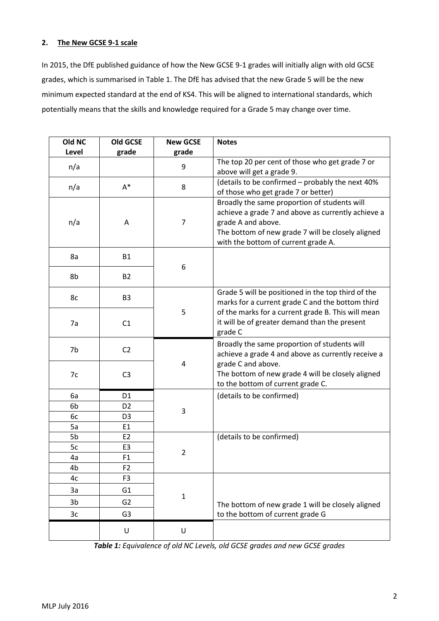## **2. The New GCSE 9-1 scale**

In 2015, the DfE published guidance of how the New GCSE 9-1 grades will initially align with old GCSE grades, which is summarised in Table 1. The DfE has advised that the new Grade 5 will be the new minimum expected standard at the end of KS4. This will be aligned to international standards, which potentially means that the skills and knowledge required for a Grade 5 may change over time.

| Old NC | <b>Old GCSE</b> | <b>New GCSE</b> | <b>Notes</b>                                                                                                                                                                                                         |
|--------|-----------------|-----------------|----------------------------------------------------------------------------------------------------------------------------------------------------------------------------------------------------------------------|
| Level  | grade           | grade           |                                                                                                                                                                                                                      |
| n/a    |                 | 9               | The top 20 per cent of those who get grade 7 or<br>above will get a grade 9.                                                                                                                                         |
| n/a    | $A^*$           | 8               | (details to be confirmed - probably the next 40%<br>of those who get grade 7 or better)                                                                                                                              |
| n/a    | Α               | 7               | Broadly the same proportion of students will<br>achieve a grade 7 and above as currently achieve a<br>grade A and above.<br>The bottom of new grade 7 will be closely aligned<br>with the bottom of current grade A. |
| 8a     | <b>B1</b>       |                 |                                                                                                                                                                                                                      |
| 8b     | <b>B2</b>       | 6               |                                                                                                                                                                                                                      |
| 8c     | B <sub>3</sub>  |                 | Grade 5 will be positioned in the top third of the<br>marks for a current grade C and the bottom third                                                                                                               |
| 7a     | C1              | 5               | of the marks for a current grade B. This will mean<br>it will be of greater demand than the present<br>grade C                                                                                                       |
| 7b     | C <sub>2</sub>  |                 | Broadly the same proportion of students will<br>achieve a grade 4 and above as currently receive a                                                                                                                   |
| 7c     | C <sub>3</sub>  | 4               | grade C and above.<br>The bottom of new grade 4 will be closely aligned<br>to the bottom of current grade C.                                                                                                         |
| 6a     | D <sub>1</sub>  |                 | (details to be confirmed)                                                                                                                                                                                            |
| 6b     | D <sub>2</sub>  |                 |                                                                                                                                                                                                                      |
| 6c     | D <sub>3</sub>  | 3               |                                                                                                                                                                                                                      |
| 5a     | E1              |                 |                                                                                                                                                                                                                      |
| 5b     | E <sub>2</sub>  |                 | (details to be confirmed)                                                                                                                                                                                            |
| 5c     | E <sub>3</sub>  | $\overline{2}$  |                                                                                                                                                                                                                      |
| 4a     | F <sub>1</sub>  |                 |                                                                                                                                                                                                                      |
| 4b     | F <sub>2</sub>  |                 |                                                                                                                                                                                                                      |
| 4c     | F <sub>3</sub>  |                 |                                                                                                                                                                                                                      |
| 3a     | G <sub>1</sub>  |                 |                                                                                                                                                                                                                      |
| 3b     | G <sub>2</sub>  | $\mathbf 1$     | The bottom of new grade 1 will be closely aligned                                                                                                                                                                    |
| 3c     | G <sub>3</sub>  |                 | to the bottom of current grade G                                                                                                                                                                                     |
|        | U               | U               |                                                                                                                                                                                                                      |

*Table 1: Equivalence of old NC Levels, old GCSE grades and new GCSE grades*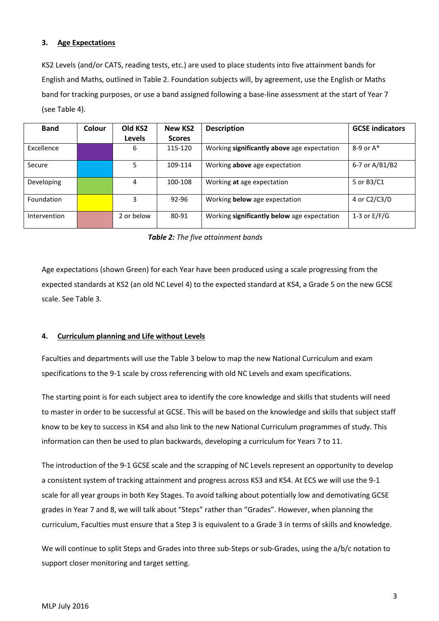### **3. Age Expectations**

KS2 Levels (and/or CATS, reading tests, etc.) are used to place students into five attainment bands for English and Maths, outlined in Table 2. Foundation subjects will, by agreement, use the English or Maths band for tracking purposes, or use a band assigned following a base-line assessment at the start of Year 7 (see Table 4).

| <b>Band</b>  | Colour | Old KS <sub>2</sub> | <b>New KS2</b> | <b>Description</b>                          | <b>GCSE indicators</b> |
|--------------|--------|---------------------|----------------|---------------------------------------------|------------------------|
|              |        | <b>Levels</b>       | <b>Scores</b>  |                                             |                        |
| Excellence   |        | 6                   | 115-120        | Working significantly above age expectation | $8-9$ or $A^*$         |
| Secure       |        | 5                   | 109-114        | Working <b>above</b> age expectation        | 6-7 or A/B1/B2         |
| Developing   |        | 4                   | 100-108        | Working at age expectation                  | 5 or B3/C1             |
| Foundation   |        | 3                   | 92-96          | Working below age expectation               | 4 or C2/C3/D           |
| Intervention |        | 2 or below          | 80-91          | Working significantly below age expectation | 1-3 or $E/F/G$         |

### *Table 2: The five attainment bands*

Age expectations (shown Green) for each Year have been produced using a scale progressing from the expected standards at KS2 (an old NC Level 4) to the expected standard at KS4, a Grade 5 on the new GCSE scale. See Table 3.

### **4. Curriculum planning and Life without Levels**

Faculties and departments will use the Table 3 below to map the new National Curriculum and exam specifications to the 9-1 scale by cross referencing with old NC Levels and exam specifications.

The starting point is for each subject area to identify the core knowledge and skills that students will need to master in order to be successful at GCSE. This will be based on the knowledge and skills that subject staff know to be key to success in KS4 and also link to the new National Curriculum programmes of study. This information can then be used to plan backwards, developing a curriculum for Years 7 to 11.

The introduction of the 9-1 GCSE scale and the scrapping of NC Levels represent an opportunity to develop a consistent system of tracking attainment and progress across KS3 and KS4. At ECS we will use the 9-1 scale for all year groups in both Key Stages. To avoid talking about potentially low and demotivating GCSE grades in Year 7 and 8, we will talk about "Steps" rather than "Grades". However, when planning the curriculum, Faculties must ensure that a Step 3 is equivalent to a Grade 3 in terms of skills and knowledge.

We will continue to split Steps and Grades into three sub-Steps or sub-Grades, using the a/b/c notation to support closer monitoring and target setting.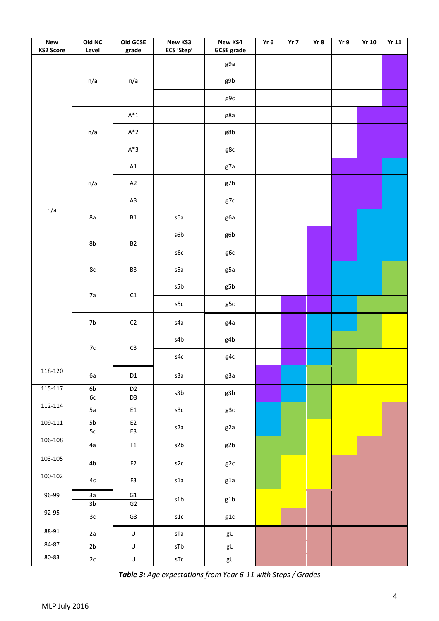| <b>New</b><br><b>KS2 Score</b> | Old NC<br>Level      | Old GCSE<br>grade                | New KS3<br>ECS 'Step'            | <b>New KS4</b><br><b>GCSE</b> grade | $Yr$ 6 | Yr 7 | Yr 8 | Yr 9 | <b>Yr 10</b> | Yr11 |
|--------------------------------|----------------------|----------------------------------|----------------------------------|-------------------------------------|--------|------|------|------|--------------|------|
|                                |                      |                                  |                                  | g9a                                 |        |      |      |      |              |      |
|                                | n/a                  | n/a                              |                                  | g9b                                 |        |      |      |      |              |      |
|                                |                      |                                  |                                  | g9c                                 |        |      |      |      |              |      |
|                                |                      | $\mathsf{A}^*1$                  |                                  | g8a                                 |        |      |      |      |              |      |
|                                | n/a                  | $A^*2$                           |                                  | g8b                                 |        |      |      |      |              |      |
|                                |                      | $A^*3$                           |                                  | g8c                                 |        |      |      |      |              |      |
|                                |                      | A1                               |                                  | g7a                                 |        |      |      |      |              |      |
|                                | n/a                  | A2                               |                                  | g7b                                 |        |      |      |      |              |      |
|                                |                      | A3                               |                                  | g7c                                 |        |      |      |      |              |      |
| n/a                            | 8a                   | <b>B1</b>                        | s6a                              | g6a                                 |        |      |      |      |              |      |
|                                | 8b                   | <b>B2</b>                        | s6b                              | g6b                                 |        |      |      |      |              |      |
|                                |                      |                                  | s6c                              | g6c                                 |        |      |      |      |              |      |
|                                | $8\mathrm{c}$        | B3                               | s5a                              | g5a                                 |        |      |      |      |              |      |
|                                |                      |                                  | s5b                              | g5b                                 |        |      |      |      |              |      |
|                                | 7a                   | $\mathsf{C1}$                    | $\sf s5c$                        | g5c                                 |        |      |      |      |              |      |
|                                | $7\mathrm{b}$        | $\mathsf{C2}$                    | s4a                              | g4a                                 |        |      |      |      |              |      |
|                                |                      |                                  | s4b                              | g4b                                 |        |      |      |      |              |      |
|                                | $7\mathrm{c}$        | $\mathsf{C}3$                    | s4c                              | g4c                                 |        |      |      |      |              |      |
| 118-120                        | 6a                   | $\mathsf{D1}$                    | s3a                              | g3a                                 |        |      |      |      |              |      |
| 115-117                        | 6b<br>$6\mathrm{c}$  | D <sub>2</sub><br>D <sub>3</sub> | $\ensuremath{\mathsf{s3b}}$      | g3b                                 |        |      |      |      |              |      |
| 112-114                        | 5a                   | E1                               | s3c                              | g3c                                 |        |      |      |      |              |      |
| 109-111                        | ${\sf 5b}$<br>5c     | E <sub>2</sub><br>E3             | s2a                              | g2a                                 |        |      |      |      |              |      |
| 106-108                        | 4a                   | F1                               | s2b                              | g2b                                 |        |      |      |      |              |      |
| 103-105                        | 4b                   | F <sub>2</sub>                   | s2c                              | g2c                                 |        |      |      |      |              |      |
| $100 - 102$                    | 4c                   | F3                               | s1a                              | g1a                                 |        |      |      |      |              |      |
| 96-99                          | 3a<br>3 <sub>b</sub> | G1<br>G2                         | s1b                              | g1b                                 |        |      |      |      |              |      |
| 92-95                          | $3\mathrm{c}$        | G <sub>3</sub>                   | s1c                              | $\verb g1 c $                       |        |      |      |      |              |      |
| 88-91                          | 2a                   | $\sf U$                          | sTa                              | gU                                  |        |      |      |      |              |      |
| 84-87                          | 2b                   | $\sf U$                          | $\mathsf{s}\mathsf{T}\mathsf{b}$ | gU                                  |        |      |      |      |              |      |
| $80 - 83$                      | 2c                   | $\sf U$                          | ${\sf sTc}$                      | gU                                  |        |      |      |      |              |      |

*Table 3: Age expectations from Year 6-11 with Steps / Grades*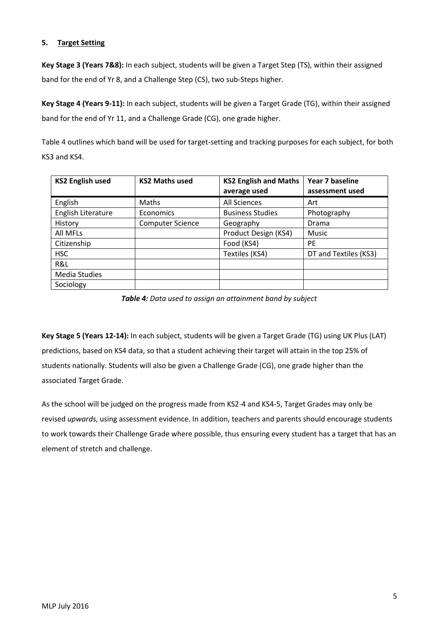## **5. Target Setting**

**Key Stage 3 (Years 7&8):** In each subject, students will be given a Target Step (TS), within their assigned band for the end of Yr 8, and a Challenge Step (CS), two sub-Steps higher.

**Key Stage 4 (Years 9-11):** In each subject, students will be given a Target Grade (TG), within their assigned band for the end of Yr 11, and a Challenge Grade (CG), one grade higher.

Table 4 outlines which band will be used for target-setting and tracking purposes for each subject, for both KS3 and KS4.

| <b>KS2 English used</b> | <b>KS2 Maths used</b>   | <b>KS2 English and Maths</b> | Year 7 baseline       |
|-------------------------|-------------------------|------------------------------|-----------------------|
|                         |                         | average used                 | assessment used       |
| English                 | Maths                   | All Sciences                 | Art                   |
| English Literature      | Economics               | <b>Business Studies</b>      | Photography           |
| History                 | <b>Computer Science</b> | Geography                    | Drama                 |
| All MFLs                |                         | Product Design (KS4)         | Music                 |
| Citizenship             |                         | Food (KS4)                   | <b>PE</b>             |
| <b>HSC</b>              |                         | Textiles (KS4)               | DT and Textiles (KS3) |
| R&L                     |                         |                              |                       |
| <b>Media Studies</b>    |                         |                              |                       |
| Sociology               |                         |                              |                       |

*Table 4: Data used to assign an attainment band by subject*

**Key Stage 5 (Years 12-14):** In each subject, students will be given a Target Grade (TG) using UK Plus (LAT) predictions, based on KS4 data, so that a student achieving their target will attain in the top 25% of students nationally. Students will also be given a Challenge Grade (CG), one grade higher than the associated Target Grade.

As the school will be judged on the progress made from KS2-4 and KS4-5, Target Grades may only be revised *upwards*, using assessment evidence. In addition, teachers and parents should encourage students to work towards their Challenge Grade where possible, thus ensuring every student has a target that has an element of stretch and challenge.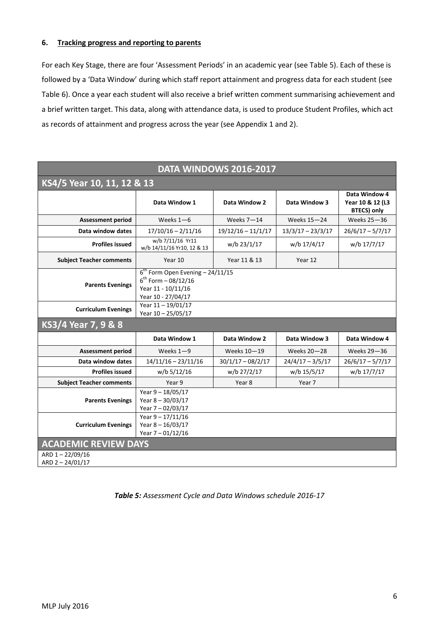### **6. Tracking progress and reporting to parents**

For each Key Stage, there are four 'Assessment Periods' in an academic year (see Table 5). Each of these is followed by a 'Data Window' during which staff report attainment and progress data for each student (see Table 6). Once a year each student will also receive a brief written comment summarising achievement and a brief written target. This data, along with attendance data, is used to produce Student Profiles, which act as records of attainment and progress across the year (see Appendix 1 and 2).

| DATA WINDOWS 2016-2017               |                                                                                                                |                      |                     |                                                         |  |  |  |  |  |  |  |  |
|--------------------------------------|----------------------------------------------------------------------------------------------------------------|----------------------|---------------------|---------------------------------------------------------|--|--|--|--|--|--|--|--|
|                                      | KS4/5 Year 10, 11, 12 & 13                                                                                     |                      |                     |                                                         |  |  |  |  |  |  |  |  |
|                                      | Data Window 1                                                                                                  | Data Window 2        | Data Window 3       | Data Window 4<br>Year 10 & 12 (L3<br><b>BTECS)</b> only |  |  |  |  |  |  |  |  |
| <b>Assessment period</b>             | Weeks $1 - 6$                                                                                                  | Weeks $7 - 14$       | Weeks 15-24         | Weeks 25-36                                             |  |  |  |  |  |  |  |  |
| Data window dates                    | $17/10/16 - 2/11/16$                                                                                           | $19/12/16 - 11/1/17$ | $13/3/17 - 23/3/17$ | $26/6/17 - 5/7/17$                                      |  |  |  |  |  |  |  |  |
| <b>Profiles issued</b>               | w/b 7/11/16 Yr11<br>w/b 14/11/16 Yr10, 12 & 13                                                                 | w/b 23/1/17          | w/b 17/4/17         | w/b 17/7/17                                             |  |  |  |  |  |  |  |  |
| <b>Subject Teacher comments</b>      | Year 10                                                                                                        | Year 11 & 13         | Year 12             |                                                         |  |  |  |  |  |  |  |  |
| <b>Parents Evenings</b>              | $6^{th}$ Form Open Evening - 24/11/15<br>$6^{th}$ Form $-08/12/16$<br>Year 11 - 10/11/16<br>Year 10 - 27/04/17 |                      |                     |                                                         |  |  |  |  |  |  |  |  |
| <b>Curriculum Evenings</b>           | Year 11 - 19/01/17<br>Year 10 - 25/05/17                                                                       |                      |                     |                                                         |  |  |  |  |  |  |  |  |
| KS3/4 Year 7, 9 & 8                  |                                                                                                                |                      |                     |                                                         |  |  |  |  |  |  |  |  |
|                                      | Data Window 1                                                                                                  | Data Window 2        | Data Window 3       | Data Window 4                                           |  |  |  |  |  |  |  |  |
| <b>Assessment period</b>             | Weeks $1 - 9$                                                                                                  | Weeks 10-19          | Weeks 20-28         | Weeks 29-36                                             |  |  |  |  |  |  |  |  |
| Data window dates                    | $14/11/16 - 23/11/16$                                                                                          | $30/1/17 - 08/2/17$  | $24/4/17 - 3/5/17$  | $26/6/17 - 5/7/17$                                      |  |  |  |  |  |  |  |  |
| <b>Profiles issued</b>               | w/b 5/12/16                                                                                                    | w/b 27/2/17          | w/b 15/5/17         | w/b 17/7/17                                             |  |  |  |  |  |  |  |  |
| <b>Subject Teacher comments</b>      | Year 9                                                                                                         | Year 8               | Year 7              |                                                         |  |  |  |  |  |  |  |  |
| <b>Parents Evenings</b>              | Year $9 - 18/05/17$<br>Year $8 - 30/03/17$<br>Year 7 - 02/03/17                                                |                      |                     |                                                         |  |  |  |  |  |  |  |  |
| <b>Curriculum Evenings</b>           | Year $9 - 17/11/16$<br>Year $8 - 16/03/17$<br>Year 7-01/12/16                                                  |                      |                     |                                                         |  |  |  |  |  |  |  |  |
| <b>ACADEMIC REVIEW DAYS</b>          |                                                                                                                |                      |                     |                                                         |  |  |  |  |  |  |  |  |
| ARD 1-22/09/16<br>ARD $2 - 24/01/17$ |                                                                                                                |                      |                     |                                                         |  |  |  |  |  |  |  |  |

*Table 5: Assessment Cycle and Data Windows schedule 2016-17*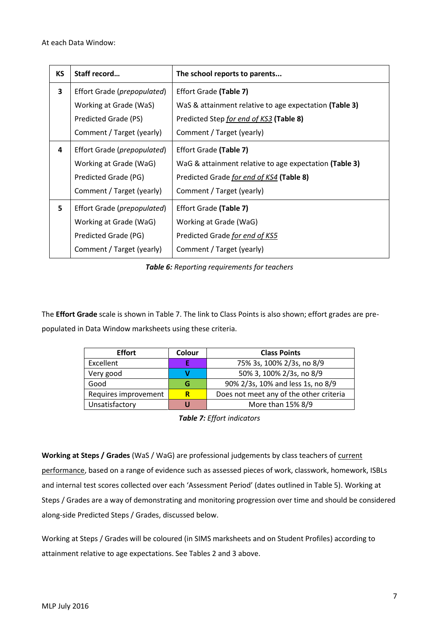| <b>KS</b> | Staff record                         | The school reports to parents                          |
|-----------|--------------------------------------|--------------------------------------------------------|
| 3         | Effort Grade (prepopulated)          | Effort Grade (Table 7)                                 |
|           | Working at Grade (WaS)               | WaS & attainment relative to age expectation (Table 3) |
|           | Predicted Grade (PS)                 | Predicted Step for end of KS3 (Table 8)                |
|           | Comment / Target (yearly)            | Comment / Target (yearly)                              |
| 4         | Effort Grade ( <i>prepopulated</i> ) | Effort Grade (Table 7)                                 |
|           | Working at Grade (WaG)               | WaG & attainment relative to age expectation (Table 3) |
|           | Predicted Grade (PG)                 | Predicted Grade for end of KS4 (Table 8)               |
|           | Comment / Target (yearly)            | Comment / Target (yearly)                              |
| 5         | Effort Grade (prepopulated)          | Effort Grade (Table 7)                                 |
|           | Working at Grade (WaG)               | Working at Grade (WaG)                                 |
|           | Predicted Grade (PG)                 | Predicted Grade for end of KS5                         |
|           | Comment / Target (yearly)            | Comment / Target (yearly)                              |

*Table 6: Reporting requirements for teachers*

The **Effort Grade** scale is shown in Table 7. The link to Class Points is also shown; effort grades are prepopulated in Data Window marksheets using these criteria.

| <b>Effort</b>        | Colour | <b>Class Points</b>                     |
|----------------------|--------|-----------------------------------------|
| Excellent            |        | 75% 3s, 100% 2/3s, no 8/9               |
| Very good            |        | 50% 3, 100% 2/3s, no 8/9                |
| Good                 | G      | 90% 2/3s, 10% and less 1s, no 8/9       |
| Requires improvement | R      | Does not meet any of the other criteria |
| Unsatisfactory       | U      | More than 15% 8/9                       |

*Table 7: Effort indicators*

**Working at Steps / Grades** (WaS / WaG) are professional judgements by class teachers of current performance, based on a range of evidence such as assessed pieces of work, classwork, homework, ISBLs and internal test scores collected over each 'Assessment Period' (dates outlined in Table 5). Working at Steps / Grades are a way of demonstrating and monitoring progression over time and should be considered along-side Predicted Steps / Grades, discussed below.

Working at Steps / Grades will be coloured (in SIMS marksheets and on Student Profiles) according to attainment relative to age expectations. See Tables 2 and 3 above.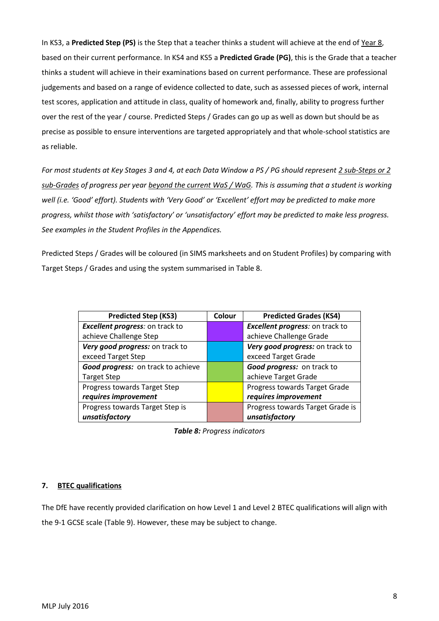In KS3, a **Predicted Step (PS)** is the Step that a teacher thinks a student will achieve at the end of Year 8, based on their current performance. In KS4 and KS5 a **Predicted Grade (PG)**, this is the Grade that a teacher thinks a student will achieve in their examinations based on current performance. These are professional judgements and based on a range of evidence collected to date, such as assessed pieces of work, internal test scores, application and attitude in class, quality of homework and, finally, ability to progress further over the rest of the year / course. Predicted Steps / Grades can go up as well as down but should be as precise as possible to ensure interventions are targeted appropriately and that whole-school statistics are as reliable.

*For most students at Key Stages 3 and 4, at each Data Window a PS / PG should represent 2 sub-Steps or 2 sub-Grades of progress per year beyond the current WaS / WaG. This is assuming that a student is working well (i.e. 'Good' effort). Students with 'Very Good' or 'Excellent' effort may be predicted to make more progress, whilst those with 'satisfactory' or 'unsatisfactory' effort may be predicted to make less progress. See examples in the Student Profiles in the Appendices.*

Predicted Steps / Grades will be coloured (in SIMS marksheets and on Student Profiles) by comparing with Target Steps / Grades and using the system summarised in Table 8.

| <b>Predicted Step (KS3)</b>            | Colour | <b>Predicted Grades (KS4)</b>    |
|----------------------------------------|--------|----------------------------------|
| <b>Excellent progress:</b> on track to |        | Excellent progress: on track to  |
| achieve Challenge Step                 |        | achieve Challenge Grade          |
| Very good progress: on track to        |        | Very good progress: on track to  |
| exceed Target Step                     |        | exceed Target Grade              |
| Good progress: on track to achieve     |        | Good progress: on track to       |
| <b>Target Step</b>                     |        | achieve Target Grade             |
| Progress towards Target Step           |        | Progress towards Target Grade    |
| requires improvement                   |        | requires improvement             |
| Progress towards Target Step is        |        | Progress towards Target Grade is |
| unsatisfactory                         |        | unsatisfactory                   |

*Table 8: Progress indicators*

### **7. BTEC qualifications**

The DfE have recently provided clarification on how Level 1 and Level 2 BTEC qualifications will align with the 9-1 GCSE scale (Table 9). However, these may be subject to change.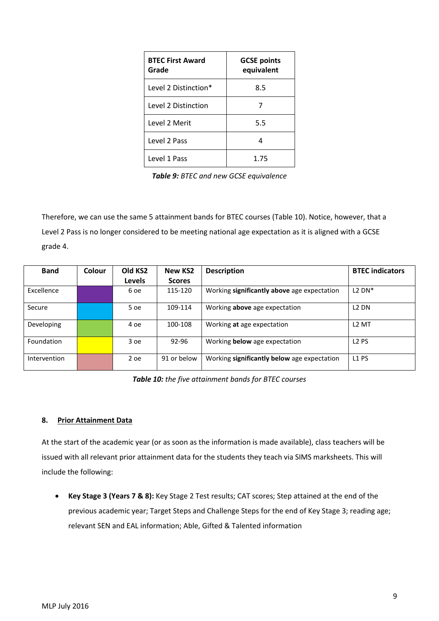| <b>BTEC First Award</b><br>Grade | <b>GCSE points</b><br>equivalent |
|----------------------------------|----------------------------------|
| Level 2 Distinction*             | 8.5                              |
| Level 2 Distinction              |                                  |
| Level 2 Merit                    | 5.5                              |
| Level 2 Pass                     |                                  |
| Level 1 Pass                     | 1.75                             |

*Table 9: BTEC and new GCSE equivalence*

Therefore, we can use the same 5 attainment bands for BTEC courses (Table 10). Notice, however, that a Level 2 Pass is no longer considered to be meeting national age expectation as it is aligned with a GCSE grade 4.

| <b>Band</b>  | Colour | Old KS2       | <b>New KS2</b> | <b>Description</b>                          | <b>BTEC</b> indicators |
|--------------|--------|---------------|----------------|---------------------------------------------|------------------------|
|              |        | <b>Levels</b> | <b>Scores</b>  |                                             |                        |
| Excellence   |        | 6 oe          | 115-120        | Working significantly above age expectation | $L2$ DN <sup>*</sup>   |
| Secure       |        | 5 oe          | 109-114        | Working <b>above</b> age expectation        | L <sub>2</sub> DN      |
| Developing   |        | 4 oe          | 100-108        | Working at age expectation                  | L <sub>2</sub> MT      |
| Foundation   |        | 3 oe          | 92-96          | Working below age expectation               | L <sub>2</sub> PS      |
| Intervention |        | 2 oe          | 91 or below    | Working significantly below age expectation | L <sub>1</sub> PS      |

*Table 10: the five attainment bands for BTEC courses*

### **8. Prior Attainment Data**

At the start of the academic year (or as soon as the information is made available), class teachers will be issued with all relevant prior attainment data for the students they teach via SIMS marksheets. This will include the following:

 **Key Stage 3 (Years 7 & 8):** Key Stage 2 Test results; CAT scores; Step attained at the end of the previous academic year; Target Steps and Challenge Steps for the end of Key Stage 3; reading age; relevant SEN and EAL information; Able, Gifted & Talented information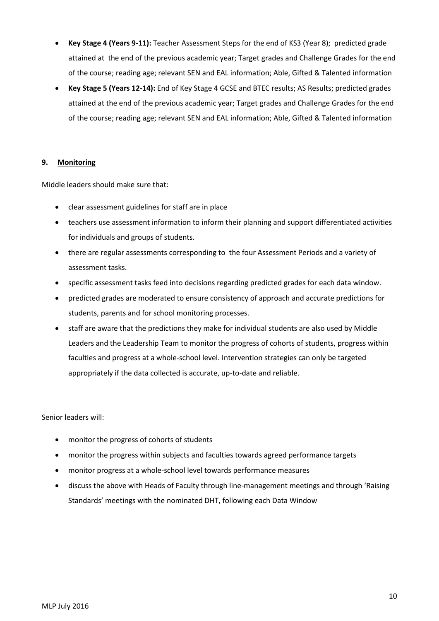- **Key Stage 4 (Years 9-11):** Teacher Assessment Steps for the end of KS3 (Year 8); predicted grade attained at the end of the previous academic year; Target grades and Challenge Grades for the end of the course; reading age; relevant SEN and EAL information; Able, Gifted & Talented information
- **Key Stage 5 (Years 12-14):** End of Key Stage 4 GCSE and BTEC results; AS Results; predicted grades attained at the end of the previous academic year; Target grades and Challenge Grades for the end of the course; reading age; relevant SEN and EAL information; Able, Gifted & Talented information

## **9. Monitoring**

Middle leaders should make sure that:

- clear assessment guidelines for staff are in place
- teachers use assessment information to inform their planning and support differentiated activities for individuals and groups of students.
- there are regular assessments corresponding to the four Assessment Periods and a variety of assessment tasks.
- specific assessment tasks feed into decisions regarding predicted grades for each data window.
- predicted grades are moderated to ensure consistency of approach and accurate predictions for students, parents and for school monitoring processes.
- staff are aware that the predictions they make for individual students are also used by Middle Leaders and the Leadership Team to monitor the progress of cohorts of students, progress within faculties and progress at a whole-school level. Intervention strategies can only be targeted appropriately if the data collected is accurate, up-to-date and reliable.

Senior leaders will:

- monitor the progress of cohorts of students
- monitor the progress within subjects and faculties towards agreed performance targets
- monitor progress at a whole-school level towards performance measures
- discuss the above with Heads of Faculty through line-management meetings and through 'Raising Standards' meetings with the nominated DHT, following each Data Window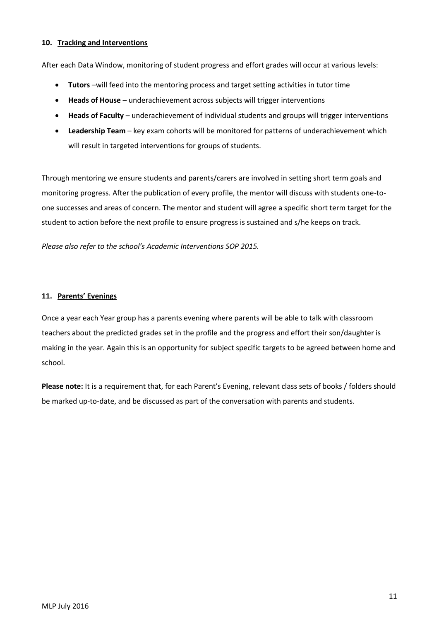### **10. Tracking and Interventions**

After each Data Window, monitoring of student progress and effort grades will occur at various levels:

- **Tutors** –will feed into the mentoring process and target setting activities in tutor time
- **Heads of House** underachievement across subjects will trigger interventions
- **Heads of Faculty** underachievement of individual students and groups will trigger interventions
- **Leadership Team** key exam cohorts will be monitored for patterns of underachievement which will result in targeted interventions for groups of students.

Through mentoring we ensure students and parents/carers are involved in setting short term goals and monitoring progress. After the publication of every profile, the mentor will discuss with students one-toone successes and areas of concern. The mentor and student will agree a specific short term target for the student to action before the next profile to ensure progress is sustained and s/he keeps on track.

*Please also refer to the school's Academic Interventions SOP 2015.*

### **11. Parents' Evenings**

Once a year each Year group has a parents evening where parents will be able to talk with classroom teachers about the predicted grades set in the profile and the progress and effort their son/daughter is making in the year. Again this is an opportunity for subject specific targets to be agreed between home and school.

**Please note:** It is a requirement that, for each Parent's Evening, relevant class sets of books / folders should be marked up-to-date, and be discussed as part of the conversation with parents and students.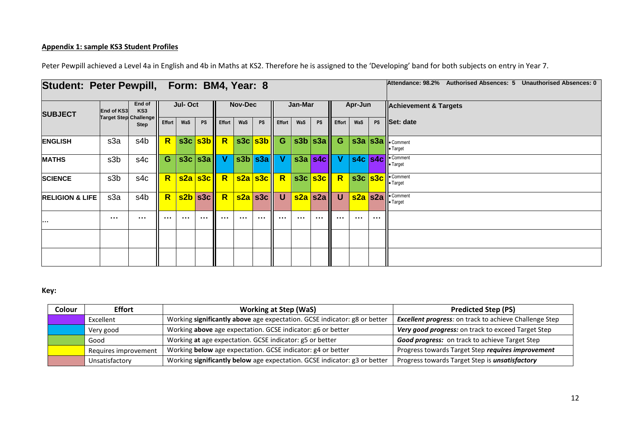# **Appendix 1: sample KS3 Student Profiles**

| Student: Peter Pewpill, Form: BM4, Year: 8 |                                |                      |    |         |                                              |               |         |                                                       |        |          |                                |               |          |                                                              | Attendance: 98.2% Authorised Absences: 5 Unauthorised Absences: 0 |
|--------------------------------------------|--------------------------------|----------------------|----|---------|----------------------------------------------|---------------|---------|-------------------------------------------------------|--------|----------|--------------------------------|---------------|----------|--------------------------------------------------------------|-------------------------------------------------------------------|
| <b>SUBJECT</b>                             | End of KS3                     | End of<br>KS3        |    | Jul-Oct |                                              |               | Nov-Dec |                                                       |        | Jan-Mar  |                                |               | Apr-Jun  |                                                              | <b>Achievement &amp; Targets</b>                                  |
|                                            | Target Step Challenge   Effort | <b>Step</b>          |    | WaS     | <b>PS</b>                                    | <b>Effort</b> | WaS     | <b>PS</b>                                             | Effort | WaS      | <b>PS</b>                      | <b>Effort</b> | WaS      |                                                              | PS Set: date                                                      |
| <b>ENGLISH</b>                             | s3a                            | s4b                  | R  |         | s3c s3b R                                    |               |         | S3c S3b G                                             |        |          | $ \text{s3b} $ s3a $  $ G      |               |          |                                                              | S3a S3a Comment<br>• Target                                       |
| <b>MATHS</b>                               | s3 <sub>b</sub>                | s4c                  | G. |         | $ \textsf{s3c}   \textsf{s3a}   \textsf{V} $ |               |         | s3b  s3a    V                                         |        |          | $ \texttt{s3a} \texttt{s4c}  $ | $\mathbf{V}$  |          |                                                              | s4c s4c Comment<br>• Target                                       |
| <b>SCIENCE</b>                             | s3b                            | s4c                  | R  |         | <mark>ls2a s3c   R</mark>                    |               |         | $ \mathsf{s2a} \mathsf{s3c}   \overline{\mathsf{R}} $ |        |          | S3c <mark>s3c   R</mark>       |               |          |                                                              | S3c S3c Comment<br>• Target                                       |
| <b>RELIGION &amp; LIFE</b>                 | s3a                            | s4b                  | R  |         | s2b s3c R                                    |               |         | <mark>│s2a│</mark> s3c│ U                             |        |          | <mark>ls2a </mark> s2a ∥       | $\mathsf{U}$  |          |                                                              | <b>s2a</b> s2a Comment                                            |
| $\cdots$                                   | $\sim$ $\sim$ $\sim$           | $\sim$ $\sim$ $\sim$ |    |         |                                              |               |         |                                                       |        | $\cdots$ |                                |               | $\cdots$ | $\begin{array}{ccc} \bullet & \bullet & \bullet \end{array}$ |                                                                   |
|                                            |                                |                      |    |         |                                              |               |         |                                                       |        |          |                                |               |          |                                                              |                                                                   |
|                                            |                                |                      |    |         |                                              |               |         |                                                       |        |          |                                |               |          |                                                              |                                                                   |

Peter Pewpill achieved a Level 4a in English and 4b in Maths at KS2. Therefore he is assigned to the 'Developing' band for both subjects on entry in Year 7.

## **Key:**

| Colour | <b>Effort</b>        | <b>Working at Step (WaS)</b>                                              | <b>Predicted Step (PS)</b>                                    |
|--------|----------------------|---------------------------------------------------------------------------|---------------------------------------------------------------|
|        | Excellent            | Working significantly above age expectation. GCSE indicator: g8 or better | <b>Excellent progress:</b> on track to achieve Challenge Step |
|        | Very good            | Working above age expectation. GCSE indicator: g6 or better               | Very good progress: on track to exceed Target Step            |
|        | Good                 | Working at age expectation. GCSE indicator: g5 or better                  | <b>Good progress:</b> on track to achieve Target Step         |
|        | Requires improvement | Working below age expectation. GCSE indicator: g4 or better               | Progress towards Target Step requires improvement             |
|        | Unsatisfactory       | Working significantly below age expectation. GCSE indicator: g3 or better | Progress towards Target Step is <i>unsatisfactory</i>         |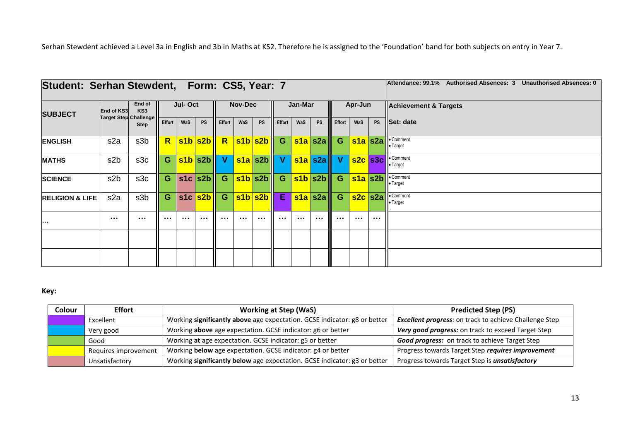Serhan Stewdent achieved a Level 3a in English and 3b in Maths at KS2. Therefore he is assigned to the 'Foundation' band for both subjects on entry in Year 7.

| Student: Serhan Stewdent, Form: CS5, Year: 7 |                              |                           |        |          |               |                |     |                              |          |          |                                              | Authorised Absences: 3 Unauthorised Absences: 0<br>Attendance: 99.1% |          |          |                                             |
|----------------------------------------------|------------------------------|---------------------------|--------|----------|---------------|----------------|-----|------------------------------|----------|----------|----------------------------------------------|----------------------------------------------------------------------|----------|----------|---------------------------------------------|
| <b>SUBJECT</b>                               | <b>End of KS3</b>            | End of<br>KS <sub>3</sub> |        | Jul-Oct  |               | <b>Nov-Dec</b> |     |                              | Jan-Mar  |          |                                              | Apr-Jun                                                              |          |          | Achievement & Targets                       |
|                                              | <b>Target Step Challenge</b> | <b>Step</b>               | Effort | WaS      | <b>PS</b>     | Effort         | WaS | <b>PS</b>                    | Effort   | WaS      | <b>PS</b>                                    | <b>Effort</b>                                                        | WaS      |          | PS Set: date                                |
| <b>ENGLISH</b>                               | s <sub>2</sub> a             | s3b                       | R      |          | s1b s2b R     |                |     | s1b s2b G                    |          |          | $ \sin 2a $ G                                |                                                                      |          |          | s1a s2a <u>Comment</u><br><b>I</b> . Target |
| <b>MATHS</b>                                 | s <sub>2</sub> b             | s3c                       | G.     |          | $s1b s2b $ V  |                |     | s1a s2b V                    |          |          | s1a s2a V                                    |                                                                      |          |          | s2c s3c Comment<br>• Target                 |
| <b>SCIENCE</b>                               | s <sub>2</sub> b             | s3c                       | G.     |          | $s1c  s2b $ G |                |     | <mark>ls1b </mark> ls2b    G |          |          | $ \textsf{S1b}   \textsf{S2b}   \textsf{G} $ |                                                                      |          |          | s1a s2b <u>Comment</u><br>• Target          |
| <b>RELIGION &amp; LIFE</b>                   | s <sub>2</sub> a             | s3b                       | G      |          | s1c s2b G     |                |     | $ s1b s2b $ E                |          |          | $ \mathsf{s1a} \mathsf{s2a}  \mathsf{G} $    |                                                                      |          |          | s2c s2a   Comment<br><b>I</b> . Target      |
| .                                            | $\sim 100$                   | $\sim 0.1$                |        | $\cdots$ |               | $\cdots$       |     | $\cdots$                     | $\cdots$ | $\cdots$ | $\cdots$                                     |                                                                      | $\cdots$ | $\cdots$ |                                             |
|                                              |                              |                           |        |          |               |                |     |                              |          |          |                                              |                                                                      |          |          |                                             |
|                                              |                              |                           |        |          |               |                |     |                              |          |          |                                              |                                                                      |          |          |                                             |

# **Key:**

| Colour | <b>Effort</b>        | <b>Working at Step (WaS)</b>                                              | <b>Predicted Step (PS)</b>                                    |
|--------|----------------------|---------------------------------------------------------------------------|---------------------------------------------------------------|
|        | Excellent            | Working significantly above age expectation. GCSE indicator: g8 or better | <b>Excellent progress:</b> on track to achieve Challenge Step |
|        | Very good            | Working above age expectation. GCSE indicator: g6 or better               | Very good progress: on track to exceed Target Step            |
|        | Good                 | Working at age expectation. GCSE indicator: g5 or better                  | Good progress: on track to achieve Target Step                |
|        | Requires improvement | Working below age expectation. GCSE indicator: g4 or better               | Progress towards Target Step requires improvement             |
|        | Unsatisfactory       | Working significantly below age expectation. GCSE indicator: g3 or better | Progress towards Target Step is <i>unsatisfactory</i>         |